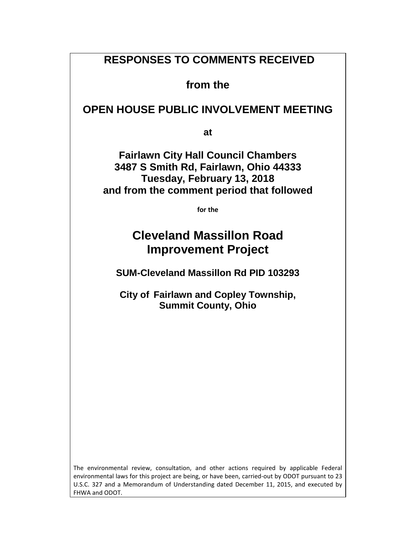# **RESPONSES TO COMMENTS RECEIVED**

**from the** 

**OPEN HOUSE PUBLIC INVOLVEMENT MEETING**

**at**

**Fairlawn City Hall Council Chambers 3487 S Smith Rd, Fairlawn, Ohio 44333 Tuesday, February 13, 2018 and from the comment period that followed**

**for the** 

# **Cleveland Massillon Road Improvement Project**

**SUM-Cleveland Massillon Rd PID 103293**

**City of Fairlawn and Copley Township, Summit County, Ohio**

The environmental review, consultation, and other actions required by applicable Federal environmental laws for this project are being, or have been, carried-out by ODOT pursuant to 23 U.S.C. 327 and a Memorandum of Understanding dated December 11, 2015, and executed by FHWA and ODOT.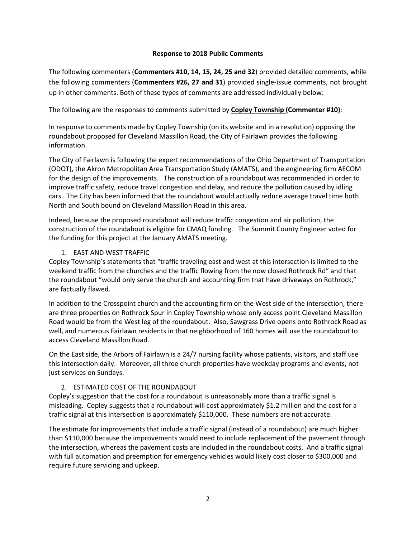#### **Response to 2018 Public Comments**

The following commenters (**Commenters #10, 14, 15, 24, 25 and 32**) provided detailed comments, while the following commenters (**Commenters #26, 27 and 31**) provided single-issue comments, not brought up in other comments. Both of these types of comments are addressed individually below:

#### The following are the responses to comments submitted by **Copley Township (Commenter #10)**:

In response to comments made by Copley Township (on its website and in a resolution) opposing the roundabout proposed for Cleveland Massillon Road, the City of Fairlawn provides the following information.

The City of Fairlawn is following the expert recommendations of the Ohio Department of Transportation (ODOT), the Akron Metropolitan Area Transportation Study (AMATS), and the engineering firm AECOM for the design of the improvements. The construction of a roundabout was recommended in order to improve traffic safety, reduce travel congestion and delay, and reduce the pollution caused by idling cars. The City has been informed that the roundabout would actually reduce average travel time both North and South bound on Cleveland Massillon Road in this area.

Indeed, because the proposed roundabout will reduce traffic congestion and air pollution, the construction of the roundabout is eligible for CMAQ funding. The Summit County Engineer voted for the funding for this project at the January AMATS meeting.

#### 1. EAST AND WEST TRAFFIC

Copley Township's statements that "traffic traveling east and west at this intersection is limited to the weekend traffic from the churches and the traffic flowing from the now closed Rothrock Rd" and that the roundabout "would only serve the church and accounting firm that have driveways on Rothrock," are factually flawed.

In addition to the Crosspoint church and the accounting firm on the West side of the intersection, there are three properties on Rothrock Spur in Copley Township whose only access point Cleveland Massillon Road would be from the West leg of the roundabout. Also, Sawgrass Drive opens onto Rothrock Road as well, and numerous Fairlawn residents in that neighborhood of 160 homes will use the roundabout to access Cleveland Massillon Road.

On the East side, the Arbors of Fairlawn is a 24/7 nursing facility whose patients, visitors, and staff use this intersection daily. Moreover, all three church properties have weekday programs and events, not just services on Sundays.

#### 2. ESTIMATED COST OF THE ROUNDABOUT

Copley's suggestion that the cost for a roundabout is unreasonably more than a traffic signal is misleading. Copley suggests that a roundabout will cost approximately \$1.2 million and the cost for a traffic signal at this intersection is approximately \$110,000. These numbers are not accurate.

The estimate for improvements that include a traffic signal (instead of a roundabout) are much higher than \$110,000 because the improvements would need to include replacement of the pavement through the intersection, whereas the pavement costs are included in the roundabout costs. And a traffic signal with full automation and preemption for emergency vehicles would likely cost closer to \$300,000 and require future servicing and upkeep.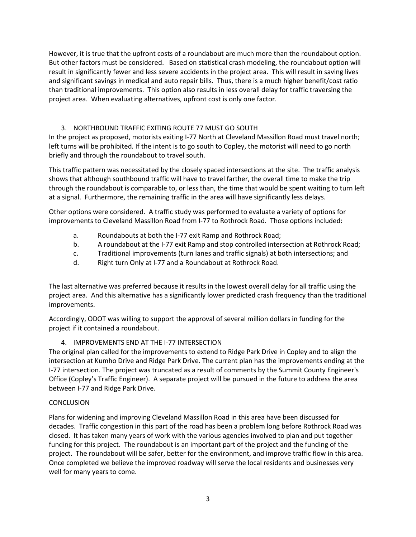However, it is true that the upfront costs of a roundabout are much more than the roundabout option. But other factors must be considered. Based on statistical crash modeling, the roundabout option will result in significantly fewer and less severe accidents in the project area. This will result in saving lives and significant savings in medical and auto repair bills. Thus, there is a much higher benefit/cost ratio than traditional improvements. This option also results in less overall delay for traffic traversing the project area. When evaluating alternatives, upfront cost is only one factor.

# 3. NORTHBOUND TRAFFIC EXITING ROUTE 77 MUST GO SOUTH

In the project as proposed, motorists exiting I-77 North at Cleveland Massillon Road must travel north; left turns will be prohibited. If the intent is to go south to Copley, the motorist will need to go north briefly and through the roundabout to travel south.

This traffic pattern was necessitated by the closely spaced intersections at the site. The traffic analysis shows that although southbound traffic will have to travel farther, the overall time to make the trip through the roundabout is comparable to, or less than, the time that would be spent waiting to turn left at a signal. Furthermore, the remaining traffic in the area will have significantly less delays.

Other options were considered. A traffic study was performed to evaluate a variety of options for improvements to Cleveland Massillon Road from I-77 to Rothrock Road. Those options included:

- a. Roundabouts at both the I-77 exit Ramp and Rothrock Road;
- b. A roundabout at the I-77 exit Ramp and stop controlled intersection at Rothrock Road;
- c. Traditional improvements (turn lanes and traffic signals) at both intersections; and
- d. Right turn Only at I-77 and a Roundabout at Rothrock Road.

The last alternative was preferred because it results in the lowest overall delay for all traffic using the project area. And this alternative has a significantly lower predicted crash frequency than the traditional improvements.

Accordingly, ODOT was willing to support the approval of several million dollars in funding for the project if it contained a roundabout.

## 4. IMPROVEMENTS END AT THE I-77 INTERSECTION

The original plan called for the improvements to extend to Ridge Park Drive in Copley and to align the intersection at Kumho Drive and Ridge Park Drive. The current plan has the improvements ending at the I-77 intersection. The project was truncated as a result of comments by the Summit County Engineer's Office (Copley's Traffic Engineer). A separate project will be pursued in the future to address the area between I-77 and Ridge Park Drive.

## **CONCLUSION**

Plans for widening and improving Cleveland Massillon Road in this area have been discussed for decades. Traffic congestion in this part of the road has been a problem long before Rothrock Road was closed. It has taken many years of work with the various agencies involved to plan and put together funding for this project. The roundabout is an important part of the project and the funding of the project. The roundabout will be safer, better for the environment, and improve traffic flow in this area. Once completed we believe the improved roadway will serve the local residents and businesses very well for many years to come.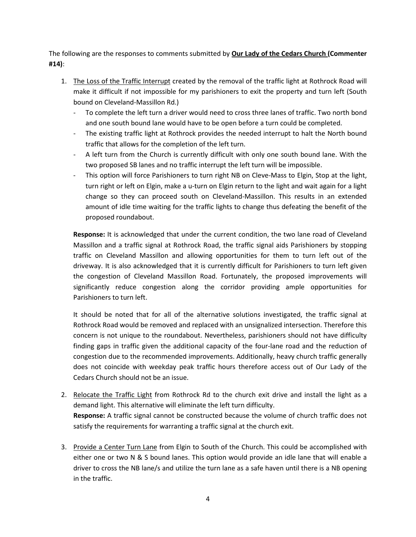The following are the responses to comments submitted by **Our Lady of the Cedars Church (Commenter #14)**:

- 1. The Loss of the Traffic Interrupt created by the removal of the traffic light at Rothrock Road will make it difficult if not impossible for my parishioners to exit the property and turn left (South bound on Cleveland-Massillon Rd.)
	- To complete the left turn a driver would need to cross three lanes of traffic. Two north bond and one south bound lane would have to be open before a turn could be completed.
	- The existing traffic light at Rothrock provides the needed interrupt to halt the North bound traffic that allows for the completion of the left turn.
	- A left turn from the Church is currently difficult with only one south bound lane. With the two proposed SB lanes and no traffic interrupt the left turn will be impossible.
	- This option will force Parishioners to turn right NB on Cleve-Mass to Elgin, Stop at the light, turn right or left on Elgin, make a u-turn on Elgin return to the light and wait again for a light change so they can proceed south on Cleveland-Massillon. This results in an extended amount of idle time waiting for the traffic lights to change thus defeating the benefit of the proposed roundabout.

**Response:** It is acknowledged that under the current condition, the two lane road of Cleveland Massillon and a traffic signal at Rothrock Road, the traffic signal aids Parishioners by stopping traffic on Cleveland Massillon and allowing opportunities for them to turn left out of the driveway. It is also acknowledged that it is currently difficult for Parishioners to turn left given the congestion of Cleveland Massillon Road. Fortunately, the proposed improvements will significantly reduce congestion along the corridor providing ample opportunities for Parishioners to turn left.

It should be noted that for all of the alternative solutions investigated, the traffic signal at Rothrock Road would be removed and replaced with an unsignalized intersection. Therefore this concern is not unique to the roundabout. Nevertheless, parishioners should not have difficulty finding gaps in traffic given the additional capacity of the four-lane road and the reduction of congestion due to the recommended improvements. Additionally, heavy church traffic generally does not coincide with weekday peak traffic hours therefore access out of Our Lady of the Cedars Church should not be an issue.

- 2. Relocate the Traffic Light from Rothrock Rd to the church exit drive and install the light as a demand light. This alternative will eliminate the left turn difficulty. **Response:** A traffic signal cannot be constructed because the volume of church traffic does not satisfy the requirements for warranting a traffic signal at the church exit.
- 3. Provide a Center Turn Lane from Elgin to South of the Church. This could be accomplished with either one or two N & S bound lanes. This option would provide an idle lane that will enable a driver to cross the NB lane/s and utilize the turn lane as a safe haven until there is a NB opening in the traffic.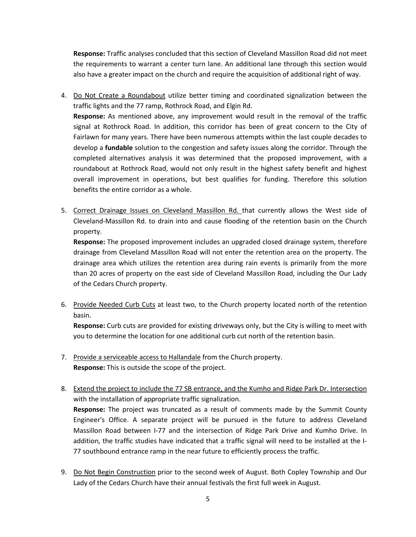**Response:** Traffic analyses concluded that this section of Cleveland Massillon Road did not meet the requirements to warrant a center turn lane. An additional lane through this section would also have a greater impact on the church and require the acquisition of additional right of way.

- 4. Do Not Create a Roundabout utilize better timing and coordinated signalization between the traffic lights and the 77 ramp, Rothrock Road, and Elgin Rd. **Response:** As mentioned above, any improvement would result in the removal of the traffic signal at Rothrock Road. In addition, this corridor has been of great concern to the City of Fairlawn for many years. There have been numerous attempts within the last couple decades to develop a **fundable** solution to the congestion and safety issues along the corridor. Through the completed alternatives analysis it was determined that the proposed improvement, with a roundabout at Rothrock Road, would not only result in the highest safety benefit and highest overall improvement in operations, but best qualifies for funding. Therefore this solution benefits the entire corridor as a whole.
- 5. Correct Drainage Issues on Cleveland Massillon Rd. that currently allows the West side of Cleveland-Massillon Rd. to drain into and cause flooding of the retention basin on the Church property.

**Response:** The proposed improvement includes an upgraded closed drainage system, therefore drainage from Cleveland Massillon Road will not enter the retention area on the property. The drainage area which utilizes the retention area during rain events is primarily from the more than 20 acres of property on the east side of Cleveland Massillon Road, including the Our Lady of the Cedars Church property.

6. Provide Needed Curb Cuts at least two, to the Church property located north of the retention basin.

**Response:** Curb cuts are provided for existing driveways only, but the City is willing to meet with you to determine the location for one additional curb cut north of the retention basin.

- 7. Provide a serviceable access to Hallandale from the Church property. **Response:** This is outside the scope of the project.
- 8. Extend the project to include the 77 SB entrance, and the Kumho and Ridge Park Dr. Intersection with the installation of appropriate traffic signalization. **Response:** The project was truncated as a result of comments made by the Summit County Engineer's Office. A separate project will be pursued in the future to address Cleveland Massillon Road between I-77 and the intersection of Ridge Park Drive and Kumho Drive. In addition, the traffic studies have indicated that a traffic signal will need to be installed at the I-77 southbound entrance ramp in the near future to efficiently process the traffic.
- 9. Do Not Begin Construction prior to the second week of August. Both Copley Township and Our Lady of the Cedars Church have their annual festivals the first full week in August.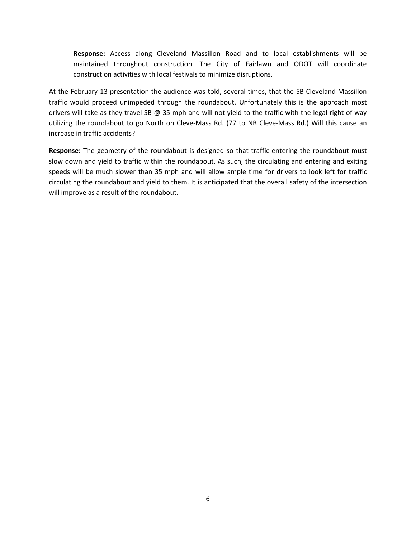**Response:** Access along Cleveland Massillon Road and to local establishments will be maintained throughout construction. The City of Fairlawn and ODOT will coordinate construction activities with local festivals to minimize disruptions.

At the February 13 presentation the audience was told, several times, that the SB Cleveland Massillon traffic would proceed unimpeded through the roundabout. Unfortunately this is the approach most drivers will take as they travel SB @ 35 mph and will not yield to the traffic with the legal right of way utilizing the roundabout to go North on Cleve-Mass Rd. (77 to NB Cleve-Mass Rd.) Will this cause an increase in traffic accidents?

**Response:** The geometry of the roundabout is designed so that traffic entering the roundabout must slow down and yield to traffic within the roundabout. As such, the circulating and entering and exiting speeds will be much slower than 35 mph and will allow ample time for drivers to look left for traffic circulating the roundabout and yield to them. It is anticipated that the overall safety of the intersection will improve as a result of the roundabout.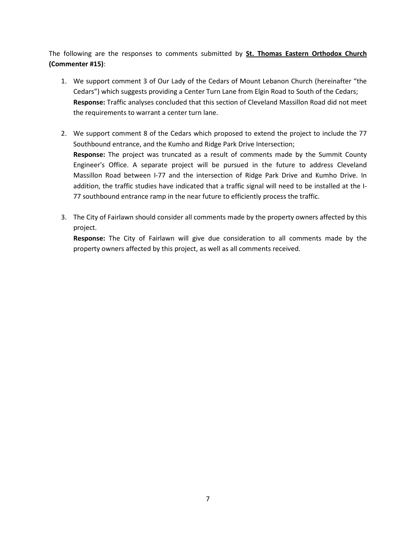The following are the responses to comments submitted by **St. Thomas Eastern Orthodox Church (Commenter #15)**:

- 1. We support comment 3 of Our Lady of the Cedars of Mount Lebanon Church (hereinafter "the Cedars") which suggests providing a Center Turn Lane from Elgin Road to South of the Cedars; **Response:** Traffic analyses concluded that this section of Cleveland Massillon Road did not meet the requirements to warrant a center turn lane.
- 2. We support comment 8 of the Cedars which proposed to extend the project to include the 77 Southbound entrance, and the Kumho and Ridge Park Drive Intersection; **Response:** The project was truncated as a result of comments made by the Summit County Engineer's Office. A separate project will be pursued in the future to address Cleveland Massillon Road between I-77 and the intersection of Ridge Park Drive and Kumho Drive. In addition, the traffic studies have indicated that a traffic signal will need to be installed at the I-77 southbound entrance ramp in the near future to efficiently process the traffic.
- 3. The City of Fairlawn should consider all comments made by the property owners affected by this project.

**Response:** The City of Fairlawn will give due consideration to all comments made by the property owners affected by this project, as well as all comments received.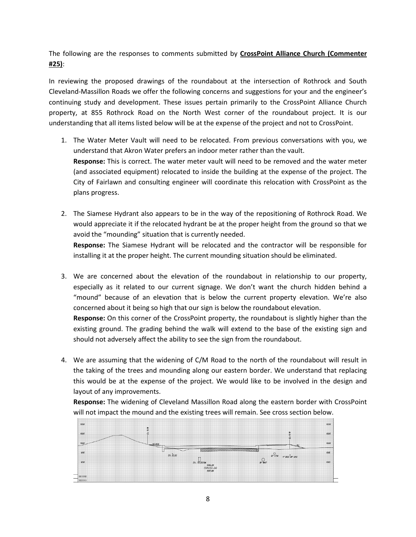The following are the responses to comments submitted by **CrossPoint Alliance Church (Commenter #25)**:

In reviewing the proposed drawings of the roundabout at the intersection of Rothrock and South Cleveland-Massillon Roads we offer the following concerns and suggestions for your and the engineer's continuing study and development. These issues pertain primarily to the CrossPoint Alliance Church property, at 855 Rothrock Road on the North West corner of the roundabout project. It is our understanding that all items listed below will be at the expense of the project and not to CrossPoint.

- 1. The Water Meter Vault will need to be relocated. From previous conversations with you, we understand that Akron Water prefers an indoor meter rather than the vault. **Response:** This is correct. The water meter vault will need to be removed and the water meter (and associated equipment) relocated to inside the building at the expense of the project. The City of Fairlawn and consulting engineer will coordinate this relocation with CrossPoint as the plans progress.
- 2. The Siamese Hydrant also appears to be in the way of the repositioning of Rothrock Road. We would appreciate it if the relocated hydrant be at the proper height from the ground so that we avoid the "mounding" situation that is currently needed. **Response:** The Siamese Hydrant will be relocated and the contractor will be responsible for installing it at the proper height. The current mounding situation should be eliminated.
- 3. We are concerned about the elevation of the roundabout in relationship to our property, especially as it related to our current signage. We don't want the church hidden behind a "mound" because of an elevation that is below the current property elevation. We're also concerned about it being so high that our sign is below the roundabout elevation.

**Response:** On this corner of the CrossPoint property, the roundabout is slightly higher than the existing ground. The grading behind the walk will extend to the base of the existing sign and should not adversely affect the ability to see the sign from the roundabout.

4. We are assuming that the widening of C/M Road to the north of the roundabout will result in the taking of the trees and mounding along our eastern border. We understand that replacing this would be at the expense of the project. We would like to be involved in the design and layout of any improvements.

**Response:** The widening of Cleveland Massillon Road along the eastern border with CrossPoint will not impact the mound and the existing trees will remain. See cross section below.

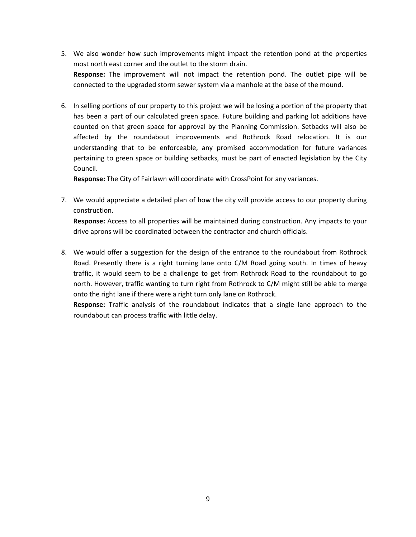- 5. We also wonder how such improvements might impact the retention pond at the properties most north east corner and the outlet to the storm drain. **Response:** The improvement will not impact the retention pond. The outlet pipe will be connected to the upgraded storm sewer system via a manhole at the base of the mound.
- 6. In selling portions of our property to this project we will be losing a portion of the property that has been a part of our calculated green space. Future building and parking lot additions have counted on that green space for approval by the Planning Commission. Setbacks will also be affected by the roundabout improvements and Rothrock Road relocation. It is our understanding that to be enforceable, any promised accommodation for future variances pertaining to green space or building setbacks, must be part of enacted legislation by the City Council.

**Response:** The City of Fairlawn will coordinate with CrossPoint for any variances.

- 7. We would appreciate a detailed plan of how the city will provide access to our property during construction. **Response:** Access to all properties will be maintained during construction. Any impacts to your drive aprons will be coordinated between the contractor and church officials.
- 8. We would offer a suggestion for the design of the entrance to the roundabout from Rothrock Road. Presently there is a right turning lane onto C/M Road going south. In times of heavy traffic, it would seem to be a challenge to get from Rothrock Road to the roundabout to go north. However, traffic wanting to turn right from Rothrock to C/M might still be able to merge onto the right lane if there were a right turn only lane on Rothrock.

**Response:** Traffic analysis of the roundabout indicates that a single lane approach to the roundabout can process traffic with little delay.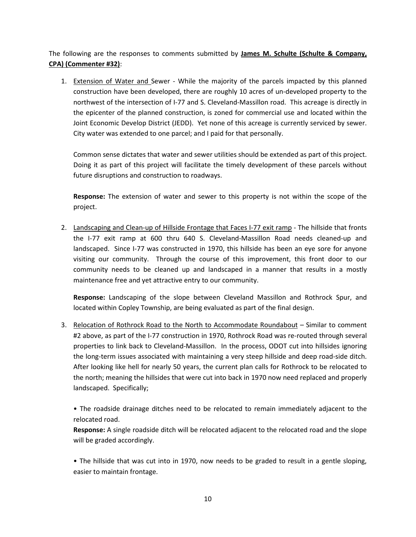The following are the responses to comments submitted by **James M. Schulte (Schulte & Company, CPA) (Commenter #32)**:

1. Extension of Water and Sewer - While the majority of the parcels impacted by this planned construction have been developed, there are roughly 10 acres of un-developed property to the northwest of the intersection of I-77 and S. Cleveland-Massillon road. This acreage is directly in the epicenter of the planned construction, is zoned for commercial use and located within the Joint Economic Develop District (JEDD). Yet none of this acreage is currently serviced by sewer. City water was extended to one parcel; and I paid for that personally.

Common sense dictates that water and sewer utilities should be extended as part of this project. Doing it as part of this project will facilitate the timely development of these parcels without future disruptions and construction to roadways.

**Response:** The extension of water and sewer to this property is not within the scope of the project.

2. Landscaping and Clean-up of Hillside Frontage that Faces I-77 exit ramp - The hillside that fronts the I-77 exit ramp at 600 thru 640 S. Cleveland-Massillon Road needs cleaned-up and landscaped. Since I-77 was constructed in 1970, this hillside has been an eye sore for anyone visiting our community. Through the course of this improvement, this front door to our community needs to be cleaned up and landscaped in a manner that results in a mostly maintenance free and yet attractive entry to our community.

**Response:** Landscaping of the slope between Cleveland Massillon and Rothrock Spur, and located within Copley Township, are being evaluated as part of the final design.

3. Relocation of Rothrock Road to the North to Accommodate Roundabout – Similar to comment #2 above, as part of the I-77 construction in 1970, Rothrock Road was re-routed through several properties to link back to Cleveland-Massillon. In the process, ODOT cut into hillsides ignoring the long-term issues associated with maintaining a very steep hillside and deep road-side ditch. After looking like hell for nearly 50 years, the current plan calls for Rothrock to be relocated to the north; meaning the hillsides that were cut into back in 1970 now need replaced and properly landscaped. Specifically;

• The roadside drainage ditches need to be relocated to remain immediately adjacent to the relocated road.

**Response:** A single roadside ditch will be relocated adjacent to the relocated road and the slope will be graded accordingly.

• The hillside that was cut into in 1970, now needs to be graded to result in a gentle sloping, easier to maintain frontage.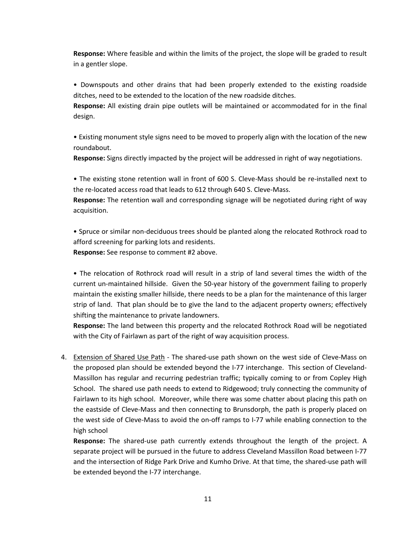**Response:** Where feasible and within the limits of the project, the slope will be graded to result in a gentler slope.

• Downspouts and other drains that had been properly extended to the existing roadside ditches, need to be extended to the location of the new roadside ditches.

**Response:** All existing drain pipe outlets will be maintained or accommodated for in the final design.

• Existing monument style signs need to be moved to properly align with the location of the new roundabout.

**Response:** Signs directly impacted by the project will be addressed in right of way negotiations.

• The existing stone retention wall in front of 600 S. Cleve-Mass should be re-installed next to the re-located access road that leads to 612 through 640 S. Cleve-Mass.

**Response:** The retention wall and corresponding signage will be negotiated during right of way acquisition.

• Spruce or similar non-deciduous trees should be planted along the relocated Rothrock road to afford screening for parking lots and residents.

**Response:** See response to comment #2 above.

• The relocation of Rothrock road will result in a strip of land several times the width of the current un-maintained hillside. Given the 50-year history of the government failing to properly maintain the existing smaller hillside, there needs to be a plan for the maintenance of this larger strip of land. That plan should be to give the land to the adjacent property owners; effectively shifting the maintenance to private landowners.

**Response:** The land between this property and the relocated Rothrock Road will be negotiated with the City of Fairlawn as part of the right of way acquisition process.

4. Extension of Shared Use Path - The shared-use path shown on the west side of Cleve-Mass on the proposed plan should be extended beyond the I-77 interchange. This section of Cleveland-Massillon has regular and recurring pedestrian traffic; typically coming to or from Copley High School. The shared use path needs to extend to Ridgewood; truly connecting the community of Fairlawn to its high school. Moreover, while there was some chatter about placing this path on the eastside of Cleve-Mass and then connecting to Brunsdorph, the path is properly placed on the west side of Cleve-Mass to avoid the on-off ramps to I-77 while enabling connection to the high school

**Response:** The shared-use path currently extends throughout the length of the project. A separate project will be pursued in the future to address Cleveland Massillon Road between I-77 and the intersection of Ridge Park Drive and Kumho Drive. At that time, the shared-use path will be extended beyond the I-77 interchange.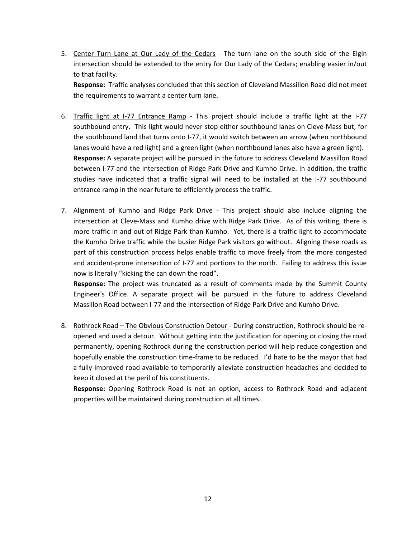5. Center Turn Lane at Our Lady of the Cedars - The turn lane on the south side of the Elgin intersection should be extended to the entry for Our Lady of the Cedars; enabling easier in/out to that facility.

**Response:** Traffic analyses concluded that this section of Cleveland Massillon Road did not meet the requirements to warrant a center turn lane.

- 6. Traffic light at I-77 Entrance Ramp This project should include a traffic light at the I-77 southbound entry. This light would never stop either southbound lanes on Cleve-Mass but, for the southbound land that turns onto I-77, it would switch between an arrow (when northbound lanes would have a red light) and a green light (when northbound lanes also have a green light). **Response:** A separate project will be pursued in the future to address Cleveland Massillon Road between I-77 and the intersection of Ridge Park Drive and Kumho Drive. In addition, the traffic studies have indicated that a traffic signal will need to be installed at the I-77 southbound entrance ramp in the near future to efficiently process the traffic.
- 7. Alignment of Kumho and Ridge Park Drive This project should also include aligning the intersection at Cleve-Mass and Kumho drive with Ridge Park Drive. As of this writing, there is more traffic in and out of Ridge Park than Kumho. Yet, there is a traffic light to accommodate the Kumho Drive traffic while the busier Ridge Park visitors go without. Aligning these roads as part of this construction process helps enable traffic to move freely from the more congested and accident-prone intersection of I-77 and portions to the north. Failing to address this issue now is literally "kicking the can down the road".

**Response:** The project was truncated as a result of comments made by the Summit County Engineer's Office. A separate project will be pursued in the future to address Cleveland Massillon Road between I-77 and the intersection of Ridge Park Drive and Kumho Drive.

8. Rothrock Road – The Obvious Construction Detour - During construction, Rothrock should be reopened and used a detour. Without getting into the justification for opening or closing the road permanently, opening Rothrock during the construction period will help reduce congestion and hopefully enable the construction time-frame to be reduced. I'd hate to be the mayor that had a fully-improved road available to temporarily alleviate construction headaches and decided to keep it closed at the peril of his constituents.

**Response:** Opening Rothrock Road is not an option, access to Rothrock Road and adjacent properties will be maintained during construction at all times.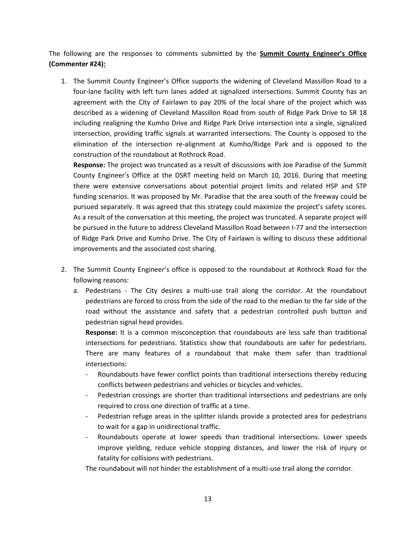The following are the responses to comments submitted by the **Summit County Engineer's Office (Commenter #24):**

1. The Summit County Engineer's Office supports the widening of Cleveland Massillon Road to a four-lane facility with left turn lanes added at signalized intersections. Summit County has an agreement with the City of Fairlawn to pay 20% of the local share of the project which was described as a widening of Cleveland Massillon Road from south of Ridge Park Drive to SR 18 including realigning the Kumho Drive and Ridge Park Drive intersection into a single, signalized intersection, providing traffic signals at warranted intersections. The County is opposed to the elimination of the intersection re-alignment at Kumho/Ridge Park and is opposed to the construction of the roundabout at Rothrock Road.

**Response:** The project was truncated as a result of discussions with Joe Paradise of the Summit County Engineer's Office at the DSRT meeting held on March 10, 2016. During that meeting there were extensive conversations about potential project limits and related HSP and STP funding scenarios. It was proposed by Mr. Paradise that the area south of the freeway could be pursued separately. It was agreed that this strategy could maximize the project's safety scores. As a result of the conversation at this meeting, the project was truncated. A separate project will be pursued in the future to address Cleveland Massillon Road between I-77 and the intersection of Ridge Park Drive and Kumho Drive. The City of Fairlawn is willing to discuss these additional improvements and the associated cost sharing.

- 2. The Summit County Engineer's office is opposed to the roundabout at Rothrock Road for the following reasons:
	- a. Pedestrians The City desires a multi-use trail along the corridor. At the roundabout pedestrians are forced to cross from the side of the road to the median to the far side of the road without the assistance and safety that a pedestrian controlled push button and pedestrian signal head provides.

**Response:** It is a common misconception that roundabouts are less safe than traditional intersections for pedestrians. Statistics show that roundabouts are safer for pedestrians. There are many features of a roundabout that make them safer than traditional intersections:

- Roundabouts have fewer conflict points than traditional intersections thereby reducing conflicts between pedestrians and vehicles or bicycles and vehicles.
- Pedestrian crossings are shorter than traditional intersections and pedestrians are only required to cross one direction of traffic at a time.
- Pedestrian refuge areas in the splitter islands provide a protected area for pedestrians to wait for a gap in unidirectional traffic.
- Roundabouts operate at lower speeds than traditional intersections. Lower speeds improve yielding, reduce vehicle stopping distances, and lower the risk of injury or fatality for collisions with pedestrians.

The roundabout will not hinder the establishment of a multi-use trail along the corridor.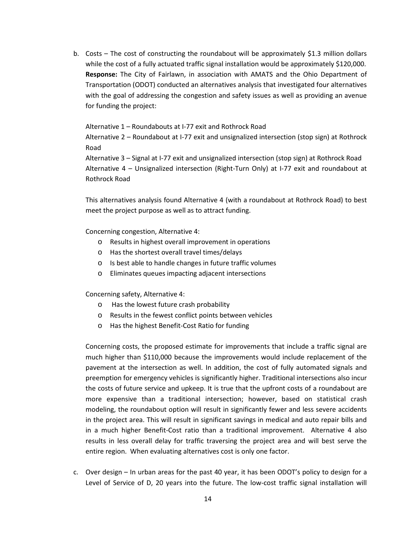b. Costs – The cost of constructing the roundabout will be approximately \$1.3 million dollars while the cost of a fully actuated traffic signal installation would be approximately \$120,000. **Response:** The City of Fairlawn, in association with AMATS and the Ohio Department of Transportation (ODOT) conducted an alternatives analysis that investigated four alternatives with the goal of addressing the congestion and safety issues as well as providing an avenue for funding the project:

Alternative 1 – Roundabouts at I-77 exit and Rothrock Road

Alternative 2 – Roundabout at I-77 exit and unsignalized intersection (stop sign) at Rothrock Road

Alternative 3 – Signal at I-77 exit and unsignalized intersection (stop sign) at Rothrock Road Alternative 4 – Unsignalized intersection (Right-Turn Only) at I-77 exit and roundabout at Rothrock Road

This alternatives analysis found Alternative 4 (with a roundabout at Rothrock Road) to best meet the project purpose as well as to attract funding.

Concerning congestion, Alternative 4:

- o Results in highest overall improvement in operations
- o Has the shortest overall travel times/delays
- o Is best able to handle changes in future traffic volumes
- o Eliminates queues impacting adjacent intersections

Concerning safety, Alternative 4:

- o Has the lowest future crash probability
- o Results in the fewest conflict points between vehicles
- o Has the highest Benefit-Cost Ratio for funding

Concerning costs, the proposed estimate for improvements that include a traffic signal are much higher than \$110,000 because the improvements would include replacement of the pavement at the intersection as well. In addition, the cost of fully automated signals and preemption for emergency vehicles is significantly higher. Traditional intersections also incur the costs of future service and upkeep. It is true that the upfront costs of a roundabout are more expensive than a traditional intersection; however, based on statistical crash modeling, the roundabout option will result in significantly fewer and less severe accidents in the project area. This will result in significant savings in medical and auto repair bills and in a much higher Benefit-Cost ratio than a traditional improvement. Alternative 4 also results in less overall delay for traffic traversing the project area and will best serve the entire region. When evaluating alternatives cost is only one factor.

c. Over design – In urban areas for the past 40 year, it has been ODOT's policy to design for a Level of Service of D, 20 years into the future. The low-cost traffic signal installation will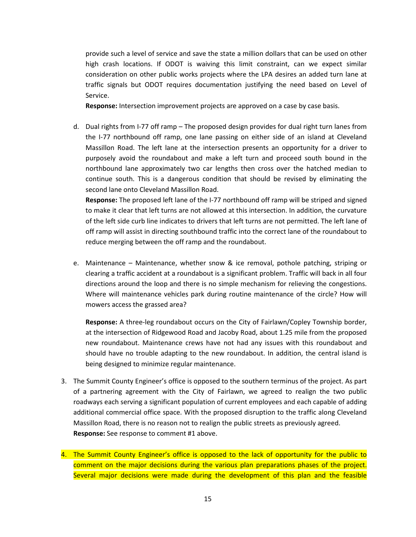provide such a level of service and save the state a million dollars that can be used on other high crash locations. If ODOT is waiving this limit constraint, can we expect similar consideration on other public works projects where the LPA desires an added turn lane at traffic signals but ODOT requires documentation justifying the need based on Level of Service.

**Response:** Intersection improvement projects are approved on a case by case basis.

d. Dual rights from I-77 off ramp – The proposed design provides for dual right turn lanes from the I-77 northbound off ramp, one lane passing on either side of an island at Cleveland Massillon Road. The left lane at the intersection presents an opportunity for a driver to purposely avoid the roundabout and make a left turn and proceed south bound in the northbound lane approximately two car lengths then cross over the hatched median to continue south. This is a dangerous condition that should be revised by eliminating the second lane onto Cleveland Massillon Road.

**Response:** The proposed left lane of the I-77 northbound off ramp will be striped and signed to make it clear that left turns are not allowed at this intersection. In addition, the curvature of the left side curb line indicates to drivers that left turns are not permitted. The left lane of off ramp will assist in directing southbound traffic into the correct lane of the roundabout to reduce merging between the off ramp and the roundabout.

e. Maintenance – Maintenance, whether snow & ice removal, pothole patching, striping or clearing a traffic accident at a roundabout is a significant problem. Traffic will back in all four directions around the loop and there is no simple mechanism for relieving the congestions. Where will maintenance vehicles park during routine maintenance of the circle? How will mowers access the grassed area?

**Response:** A three-leg roundabout occurs on the City of Fairlawn/Copley Township border, at the intersection of Ridgewood Road and Jacoby Road, about 1.25 mile from the proposed new roundabout. Maintenance crews have not had any issues with this roundabout and should have no trouble adapting to the new roundabout. In addition, the central island is being designed to minimize regular maintenance.

- 3. The Summit County Engineer's office is opposed to the southern terminus of the project. As part of a partnering agreement with the City of Fairlawn, we agreed to realign the two public roadways each serving a significant population of current employees and each capable of adding additional commercial office space. With the proposed disruption to the traffic along Cleveland Massillon Road, there is no reason not to realign the public streets as previously agreed. **Response:** See response to comment #1 above.
- 4. The Summit County Engineer's office is opposed to the lack of opportunity for the public to comment on the major decisions during the various plan preparations phases of the project. Several major decisions were made during the development of this plan and the feasible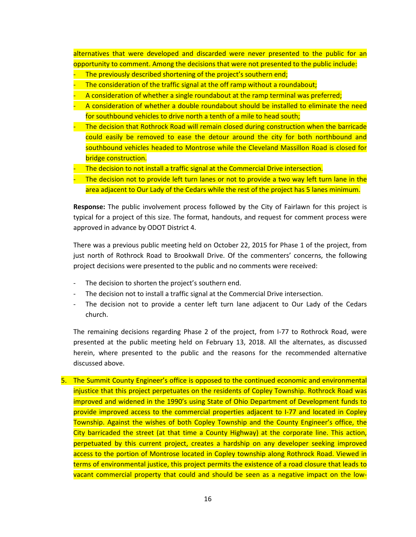alternatives that were developed and discarded were never presented to the public for an opportunity to comment. Among the decisions that were not presented to the public include:

- The previously described shortening of the project's southern end;
- The consideration of the traffic signal at the off ramp without a roundabout;
- A consideration of whether a single roundabout at the ramp terminal was preferred;
- A consideration of whether a double roundabout should be installed to eliminate the need for southbound vehicles to drive north a tenth of a mile to head south;
- The decision that Rothrock Road will remain closed during construction when the barricade could easily be removed to ease the detour around the city for both northbound and southbound vehicles headed to Montrose while the Cleveland Massillon Road is closed for bridge construction.
- The decision to not install a traffic signal at the Commercial Drive intersection.
- The decision not to provide left turn lanes or not to provide a two way left turn lane in the area adjacent to Our Lady of the Cedars while the rest of the project has 5 lanes minimum.

**Response:** The public involvement process followed by the City of Fairlawn for this project is typical for a project of this size. The format, handouts, and request for comment process were approved in advance by ODOT District 4.

There was a previous public meeting held on October 22, 2015 for Phase 1 of the project, from just north of Rothrock Road to Brookwall Drive. Of the commenters' concerns, the following project decisions were presented to the public and no comments were received:

- The decision to shorten the project's southern end.
- The decision not to install a traffic signal at the Commercial Drive intersection.
- The decision not to provide a center left turn lane adjacent to Our Lady of the Cedars church.

The remaining decisions regarding Phase 2 of the project, from I-77 to Rothrock Road, were presented at the public meeting held on February 13, 2018. All the alternates, as discussed herein, where presented to the public and the reasons for the recommended alternative discussed above.

5. The Summit County Engineer's office is opposed to the continued economic and environmental injustice that this project perpetuates on the residents of Copley Township. Rothrock Road was improved and widened in the 1990's using State of Ohio Department of Development funds to provide improved access to the commercial properties adjacent to I-77 and located in Copley Township. Against the wishes of both Copley Township and the County Engineer's office, the City barricaded the street (at that time a County Highway) at the corporate line. This action, perpetuated by this current project, creates a hardship on any developer seeking improved access to the portion of Montrose located in Copley township along Rothrock Road. Viewed in terms of environmental justice, this project permits the existence of a road closure that leads to vacant commercial property that could and should be seen as a negative impact on the low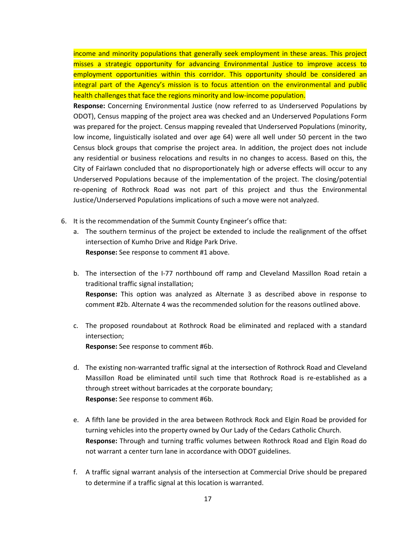income and minority populations that generally seek employment in these areas. This project misses a strategic opportunity for advancing Environmental Justice to improve access to employment opportunities within this corridor. This opportunity should be considered an integral part of the Agency's mission is to focus attention on the environmental and public health challenges that face the regions minority and low-income population.

**Response:** Concerning Environmental Justice (now referred to as Underserved Populations by ODOT), Census mapping of the project area was checked and an Underserved Populations Form was prepared for the project. Census mapping revealed that Underserved Populations (minority, low income, linguistically isolated and over age 64) were all well under 50 percent in the two Census block groups that comprise the project area. In addition, the project does not include any residential or business relocations and results in no changes to access. Based on this, the City of Fairlawn concluded that no disproportionately high or adverse effects will occur to any Underserved Populations because of the implementation of the project. The closing/potential re-opening of Rothrock Road was not part of this project and thus the Environmental Justice/Underserved Populations implications of such a move were not analyzed.

- 6. It is the recommendation of the Summit County Engineer's office that:
	- a. The southern terminus of the project be extended to include the realignment of the offset intersection of Kumho Drive and Ridge Park Drive. **Response:** See response to comment #1 above.
	- b. The intersection of the I-77 northbound off ramp and Cleveland Massillon Road retain a traditional traffic signal installation; **Response:** This option was analyzed as Alternate 3 as described above in response to comment #2b. Alternate 4 was the recommended solution for the reasons outlined above.
	- c. The proposed roundabout at Rothrock Road be eliminated and replaced with a standard intersection;

**Response:** See response to comment #6b.

- d. The existing non-warranted traffic signal at the intersection of Rothrock Road and Cleveland Massillon Road be eliminated until such time that Rothrock Road is re-established as a through street without barricades at the corporate boundary; **Response:** See response to comment #6b.
- e. A fifth lane be provided in the area between Rothrock Rock and Elgin Road be provided for turning vehicles into the property owned by Our Lady of the Cedars Catholic Church. **Response:** Through and turning traffic volumes between Rothrock Road and Elgin Road do not warrant a center turn lane in accordance with ODOT guidelines.
- f. A traffic signal warrant analysis of the intersection at Commercial Drive should be prepared to determine if a traffic signal at this location is warranted.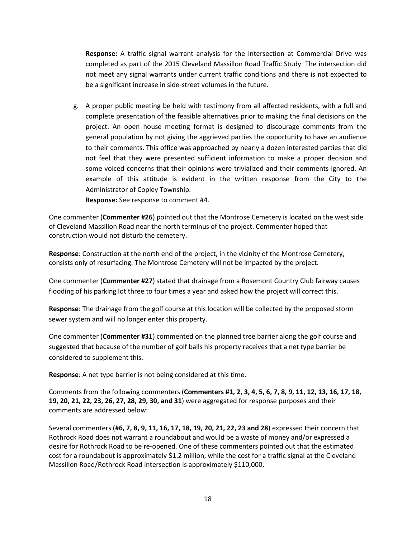**Response:** A traffic signal warrant analysis for the intersection at Commercial Drive was completed as part of the 2015 Cleveland Massillon Road Traffic Study. The intersection did not meet any signal warrants under current traffic conditions and there is not expected to be a significant increase in side-street volumes in the future.

g. A proper public meeting be held with testimony from all affected residents, with a full and complete presentation of the feasible alternatives prior to making the final decisions on the project. An open house meeting format is designed to discourage comments from the general population by not giving the aggrieved parties the opportunity to have an audience to their comments. This office was approached by nearly a dozen interested parties that did not feel that they were presented sufficient information to make a proper decision and some voiced concerns that their opinions were trivialized and their comments ignored. An example of this attitude is evident in the written response from the City to the Administrator of Copley Township.

**Response:** See response to comment #4.

One commenter (**Commenter #26**) pointed out that the Montrose Cemetery is located on the west side of Cleveland Massillon Road near the north terminus of the project. Commenter hoped that construction would not disturb the cemetery.

**Response**: Construction at the north end of the project, in the vicinity of the Montrose Cemetery, consists only of resurfacing. The Montrose Cemetery will not be impacted by the project.

One commenter (**Commenter #27**) stated that drainage from a Rosemont Country Club fairway causes flooding of his parking lot three to four times a year and asked how the project will correct this.

**Response**: The drainage from the golf course at this location will be collected by the proposed storm sewer system and will no longer enter this property.

One commenter (**Commenter #31**) commented on the planned tree barrier along the golf course and suggested that because of the number of golf balls his property receives that a net type barrier be considered to supplement this.

**Response**: A net type barrier is not being considered at this time.

Comments from the following commenters (**Commenters #1, 2, 3, 4, 5, 6, 7, 8, 9, 11, 12, 13, 16, 17, 18, 19, 20, 21, 22, 23, 26, 27, 28, 29, 30, and 31**) were aggregated for response purposes and their comments are addressed below:

Several commenters (**#6, 7, 8, 9, 11, 16, 17, 18, 19, 20, 21, 22, 23 and 28**) expressed their concern that Rothrock Road does not warrant a roundabout and would be a waste of money and/or expressed a desire for Rothrock Road to be re-opened. One of these commenters pointed out that the estimated cost for a roundabout is approximately \$1.2 million, while the cost for a traffic signal at the Cleveland Massillon Road/Rothrock Road intersection is approximately \$110,000.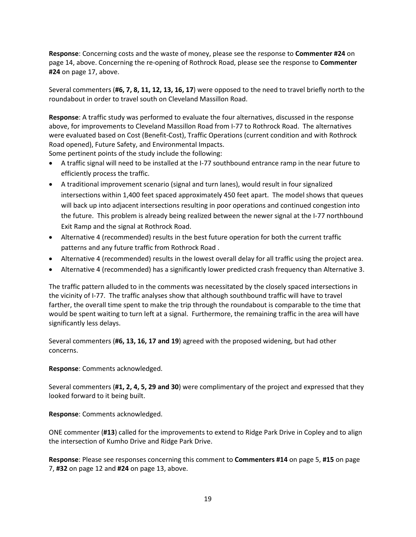**Response**: Concerning costs and the waste of money, please see the response to **Commenter #24** on page 14, above. Concerning the re-opening of Rothrock Road, please see the response to **Commenter #24** on page 17, above.

Several commenters (**#6, 7, 8, 11, 12, 13, 16, 17**) were opposed to the need to travel briefly north to the roundabout in order to travel south on Cleveland Massillon Road.

**Response**: A traffic study was performed to evaluate the four alternatives, discussed in the response above, for improvements to Cleveland Massillon Road from I-77 to Rothrock Road. The alternatives were evaluated based on Cost (Benefit-Cost), Traffic Operations (current condition and with Rothrock Road opened), Future Safety, and Environmental Impacts.

Some pertinent points of the study include the following:

- A traffic signal will need to be installed at the I-77 southbound entrance ramp in the near future to efficiently process the traffic.
- A traditional improvement scenario (signal and turn lanes), would result in four signalized intersections within 1,400 feet spaced approximately 450 feet apart. The model shows that queues will back up into adjacent intersections resulting in poor operations and continued congestion into the future. This problem is already being realized between the newer signal at the I-77 northbound Exit Ramp and the signal at Rothrock Road.
- Alternative 4 (recommended) results in the best future operation for both the current traffic patterns and any future traffic from Rothrock Road .
- Alternative 4 (recommended) results in the lowest overall delay for all traffic using the project area.
- Alternative 4 (recommended) has a significantly lower predicted crash frequency than Alternative 3.

The traffic pattern alluded to in the comments was necessitated by the closely spaced intersections in the vicinity of I-77. The traffic analyses show that although southbound traffic will have to travel farther, the overall time spent to make the trip through the roundabout is comparable to the time that would be spent waiting to turn left at a signal. Furthermore, the remaining traffic in the area will have significantly less delays.

Several commenters (**#6, 13, 16, 17 and 19**) agreed with the proposed widening, but had other concerns.

**Response**: Comments acknowledged.

Several commenters (**#1, 2, 4, 5, 29 and 30**) were complimentary of the project and expressed that they looked forward to it being built.

**Response**: Comments acknowledged.

ONE commenter (**#13**) called for the improvements to extend to Ridge Park Drive in Copley and to align the intersection of Kumho Drive and Ridge Park Drive.

**Response**: Please see responses concerning this comment to **Commenters #14** on page 5, **#15** on page 7, **#32** on page 12 and **#24** on page 13, above.